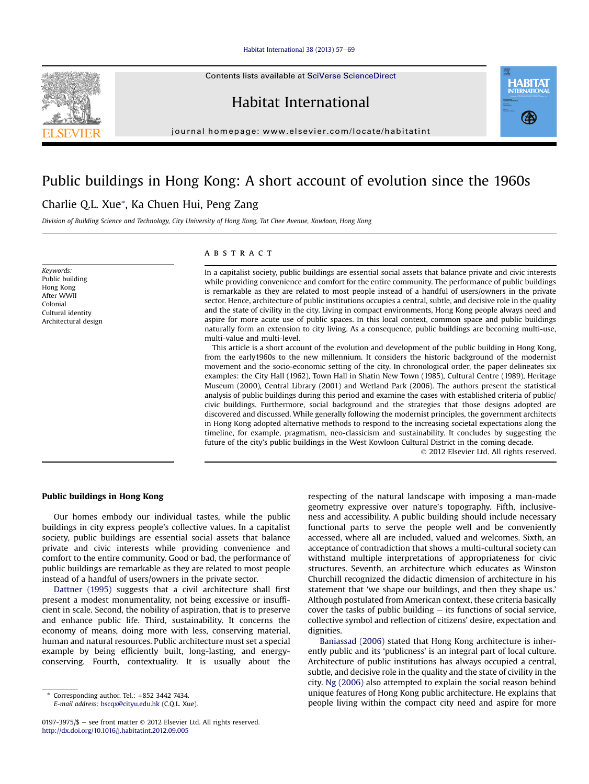#### [Habitat International 38 \(2013\) 57](http://dx.doi.org/10.1016/j.habitatint.2012.09.005)-[69](http://dx.doi.org/10.1016/j.habitatint.2012.09.005)

Contents lists available at SciVerse ScienceDirect

Habitat International

journal homepage: [www.elsevier.com/locate/habitatint](http://www.elsevier.com/locate/habitatint)

## Public buildings in Hong Kong: A short account of evolution since the 1960s

### Charlie Q.L. Xue\*, Ka Chuen Hui, Peng Zang

Division of Building Science and Technology, City University of Hong Kong, Tat Chee Avenue, Kowloon, Hong Kong

Keywords: Public building Hong Kong After WWII Colonial Cultural identity Architectural design

#### **ABSTRACT**

In a capitalist society, public buildings are essential social assets that balance private and civic interests while providing convenience and comfort for the entire community. The performance of public buildings is remarkable as they are related to most people instead of a handful of users/owners in the private sector. Hence, architecture of public institutions occupies a central, subtle, and decisive role in the quality and the state of civility in the city. Living in compact environments, Hong Kong people always need and aspire for more acute use of public spaces. In this local context, common space and public buildings naturally form an extension to city living. As a consequence, public buildings are becoming multi-use, multi-value and multi-level.

This article is a short account of the evolution and development of the public building in Hong Kong, from the early1960s to the new millennium. It considers the historic background of the modernist movement and the socio-economic setting of the city. In chronological order, the paper delineates six examples: the City Hall (1962), Town Hall in Shatin New Town (1985), Cultural Centre (1989), Heritage Museum (2000), Central Library (2001) and Wetland Park (2006). The authors present the statistical analysis of public buildings during this period and examine the cases with established criteria of public/ civic buildings. Furthermore, social background and the strategies that those designs adopted are discovered and discussed. While generally following the modernist principles, the government architects in Hong Kong adopted alternative methods to respond to the increasing societal expectations along the timeline, for example, pragmatism, neo-classicism and sustainability. It concludes by suggesting the future of the city's public buildings in the West Kowloon Cultural District in the coming decade.

2012 Elsevier Ltd. All rights reserved.

#### Public buildings in Hong Kong

Our homes embody our individual tastes, while the public buildings in city express people's collective values. In a capitalist society, public buildings are essential social assets that balance private and civic interests while providing convenience and comfort to the entire community. Good or bad, the performance of public buildings are remarkable as they are related to most people instead of a handful of users/owners in the private sector.

Dattner (1995) suggests that a civil architecture shall first present a modest monumentality, not being excessive or insufficient in scale. Second, the nobility of aspiration, that is to preserve and enhance public life. Third, sustainability. It concerns the economy of means, doing more with less, conserving material, human and natural resources. Public architecture must set a special example by being efficiently built, long-lasting, and energyconserving. Fourth, contextuality. It is usually about the

Corresponding author. Tel.:  $+852$  3442 7434.

E-mail address: [bscqx@cityu.edu.hk](mailto:bscqx@cityu.edu.hk) (C.Q.L. Xue).

0197-3975/\$  $-$  see front matter  $\odot$  2012 Elsevier Ltd. All rights reserved. <http://dx.doi.org/10.1016/j.habitatint.2012.09.005>

respecting of the natural landscape with imposing a man-made geometry expressive over nature's topography. Fifth, inclusiveness and accessibility. A public building should include necessary functional parts to serve the people well and be conveniently accessed, where all are included, valued and welcomes. Sixth, an acceptance of contradiction that shows a multi-cultural society can withstand multiple interpretations of appropriateness for civic structures. Seventh, an architecture which educates as Winston Churchill recognized the didactic dimension of architecture in his statement that 'we shape our buildings, and then they shape us.' Although postulated from American context, these criteria basically cover the tasks of public building  $-$  its functions of social service, collective symbol and reflection of citizens' desire, expectation and dignities.

Baniassad (2006) stated that Hong Kong architecture is inherently public and its 'publicness' is an integral part of local culture. Architecture of public institutions has always occupied a central, subtle, and decisive role in the quality and the state of civility in the city. Ng (2006) also attempted to explain the social reason behind unique features of Hong Kong public architecture. He explains that people living within the compact city need and aspire for more



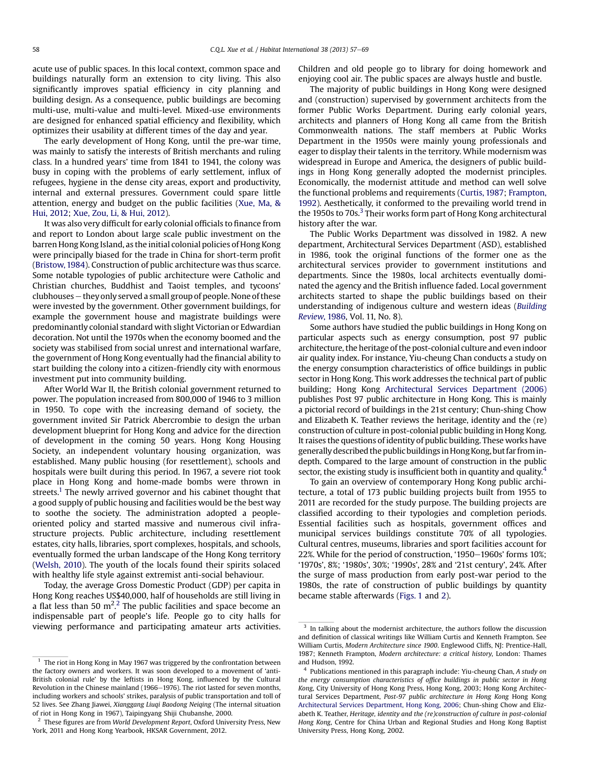acute use of public spaces. In this local context, common space and buildings naturally form an extension to city living. This also significantly improves spatial efficiency in city planning and building design. As a consequence, public buildings are becoming multi-use, multi-value and multi-level. Mixed-use environments are designed for enhanced spatial efficiency and flexibility, which optimizes their usability at different times of the day and year.

The early development of Hong Kong, until the pre-war time, was mainly to satisfy the interests of British merchants and ruling class. In a hundred years' time from 1841 to 1941, the colony was busy in coping with the problems of early settlement, influx of refugees, hygiene in the dense city areas, export and productivity, internal and external pressures. Government could spare little attention, energy and budget on the public facilities (Xue, Ma, & Hui, 2012; Xue, Zou, Li, & Hui, 2012).

It was also very difficult for early colonial officials to finance from and report to London about large scale public investment on the barren Hong Kong Island, as the initial colonial policies of Hong Kong were principally biased for the trade in China for short-term profit (Bristow, 1984). Construction of public architecture was thus scarce. Some notable typologies of public architecture were Catholic and Christian churches, Buddhist and Taoist temples, and tycoons' clubhouses e they only served a small group of people. None of these were invested by the government. Other government buildings, for example the government house and magistrate buildings were predominantly colonial standard with slight Victorian or Edwardian decoration. Not until the 1970s when the economy boomed and the society was stabilised from social unrest and international warfare, the government of Hong Kong eventually had the financial ability to start building the colony into a citizen-friendly city with enormous investment put into community building.

After World War II, the British colonial government returned to power. The population increased from 800,000 of 1946 to 3 million in 1950. To cope with the increasing demand of society, the government invited Sir Patrick Abercrombie to design the urban development blueprint for Hong Kong and advice for the direction of development in the coming 50 years. Hong Kong Housing Society, an independent voluntary housing organization, was established. Many public housing (for resettlement), schools and hospitals were built during this period. In 1967, a severe riot took place in Hong Kong and home-made bombs were thrown in streets.<sup>1</sup> The newly arrived governor and his cabinet thought that a good supply of public housing and facilities would be the best way to soothe the society. The administration adopted a peopleoriented policy and started massive and numerous civil infrastructure projects. Public architecture, including resettlement estates, city halls, libraries, sport complexes, hospitals, and schools, eventually formed the urban landscape of the Hong Kong territory (Welsh, 2010). The youth of the locals found their spirits solaced with healthy life style against extremist anti-social behaviour.

Today, the average Gross Domestic Product (GDP) per capita in Hong Kong reaches US\$40,000, half of households are still living in a flat less than 50  $\mathrm{m}^{2,2}$  The public facilities and space become an indispensable part of people's life. People go to city halls for viewing performance and participating amateur arts activities. Children and old people go to library for doing homework and enjoying cool air. The public spaces are always hustle and bustle.

The majority of public buildings in Hong Kong were designed and (construction) supervised by government architects from the former Public Works Department. During early colonial years, architects and planners of Hong Kong all came from the British Commonwealth nations. The staff members at Public Works Department in the 1950s were mainly young professionals and eager to display their talents in the territory. While modernism was widespread in Europe and America, the designers of public buildings in Hong Kong generally adopted the modernist principles. Economically, the modernist attitude and method can well solve the functional problems and requirements (Curtis, 1987; Frampton, 1992). Aesthetically, it conformed to the prevailing world trend in the 1950s to 70s.<sup>3</sup> Their works form part of Hong Kong architectural history after the war.

The Public Works Department was dissolved in 1982. A new department, Architectural Services Department (ASD), established in 1986, took the original functions of the former one as the architectural services provider to government institutions and departments. Since the 1980s, local architects eventually dominated the agency and the British influence faded. Local government architects started to shape the public buildings based on their understanding of indigenous culture and western ideas (Building Review, 1986, Vol. 11, No. 8).

Some authors have studied the public buildings in Hong Kong on particular aspects such as energy consumption, post 97 public architecture, the heritage of the post-colonial culture and even indoor air quality index. For instance, Yiu-cheung Chan conducts a study on the energy consumption characteristics of office buildings in public sector in Hong Kong. This work addresses the technical part of public building; Hong Kong Architectural Services Department (2006) publishes Post 97 public architecture in Hong Kong. This is mainly a pictorial record of buildings in the 21st century; Chun-shing Chow and Elizabeth K. Teather reviews the heritage, identity and the (re) construction of culture in post-colonial public building in Hong Kong. It raises the questions of identity of public building. These works have generally described the public buildingsin Hong Kong, but far fromindepth. Compared to the large amount of construction in the public sector, the existing study is insufficient both in quantity and quality.<sup>4</sup>

To gain an overview of contemporary Hong Kong public architecture, a total of 173 public building projects built from 1955 to 2011 are recorded for the study purpose. The building projects are classified according to their typologies and completion periods. Essential facilities such as hospitals, government offices and municipal services buildings constitute 70% of all typologies. Cultural centres, museums, libraries and sport facilities account for 22%. While for the period of construction, '1950-1960s' forms 10%; '1970s', 8%; '1980s', 30%; '1990s', 28% and '21st century', 24%. After the surge of mass production from early post-war period to the 1980s, the rate of construction of public buildings by quantity became stable afterwards (Figs. 1 and 2).

 $^{\rm 1}$  The riot in Hong Kong in May 1967 was triggered by the confrontation between the factory owners and workers. It was soon developed to a movement of 'anti-British colonial rule' by the leftists in Hong Kong, influenced by the Cultural Revolution in the Chinese mainland  $(1966-1976)$ . The riot lasted for seven months, including workers and schools' strikes, paralysis of public transportation and toll of 52 lives. See Zhang Jiawei, Xianggang Liuqi Baodong Neiqing (The internal situation of riot in Hong Kong in 1967), Taipingyang Shiji Chubanshe, 2000.

 $2$  These figures are from World Development Report, Oxford University Press, New York, 2011 and Hong Kong Yearbook, HKSAR Government, 2012.

<sup>&</sup>lt;sup>3</sup> In talking about the modernist architecture, the authors follow the discussion and definition of classical writings like William Curtis and Kenneth Frampton. See William Curtis, Modern Architecture since 1900. Englewood Cliffs, NJ: Prentice-Hall, 1987; Kenneth Frampton, Modern architecture: a critical history, London: Thames and Hudson, 1992.

<sup>4</sup> Publications mentioned in this paragraph include: Yiu-cheung Chan, A study on the energy consumption characteristics of office buildings in public sector in Hong Kong, City University of Hong Kong Press, Hong Kong, 2003; Hong Kong Architectural Services Department, Post-97 public architecture in Hong Kong Hong Kong Architectural Services Department, Hong Kong, 2006; Chun-shing Chow and Elizabeth K. Teather, Heritage, identity and the (re)construction of culture in post-colonial Hong Kong, Centre for China Urban and Regional Studies and Hong Kong Baptist University Press, Hong Kong, 2002.